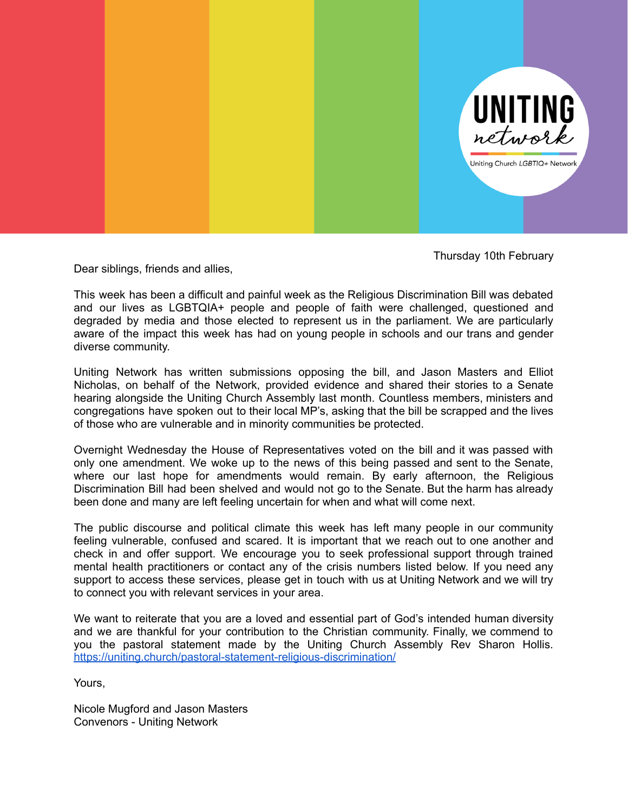

Thursday 10th February

Dear siblings, friends and allies,

This week has been a difficult and painful week as the Religious Discrimination Bill was debated and our lives as LGBTQIA+ people and people of faith were challenged, questioned and degraded by media and those elected to represent us in the parliament. We are particularly aware of the impact this week has had on young people in schools and our trans and gender diverse community.

Uniting Network has written submissions opposing the bill, and Jason Masters and Elliot Nicholas, on behalf of the Network, provided evidence and shared their stories to a Senate hearing alongside the Uniting Church Assembly last month. Countless members, ministers and congregations have spoken out to their local MP's, asking that the bill be scrapped and the lives of those who are vulnerable and in minority communities be protected.

Overnight Wednesday the House of Representatives voted on the bill and it was passed with only one amendment. We woke up to the news of this being passed and sent to the Senate, where our last hope for amendments would remain. By early afternoon, the Religious Discrimination Bill had been shelved and would not go to the Senate. But the harm has already been done and many are left feeling uncertain for when and what will come next.

The public discourse and political climate this week has left many people in our community feeling vulnerable, confused and scared. It is important that we reach out to one another and check in and offer support. We encourage you to seek professional support through trained mental health practitioners or contact any of the crisis numbers listed below. If you need any support to access these services, please get in touch with us at Uniting Network and we will try to connect you with relevant services in your area.

We want to reiterate that you are a loved and essential part of God's intended human diversity and we are thankful for your contribution to the Christian community. Finally, we commend to you the pastoral statement made by the Uniting Church Assembly Rev Sharon Hollis. <https://uniting.church/pastoral-statement-religious-discrimination/>

Yours,

Nicole Mugford and Jason Masters Convenors - Uniting Network